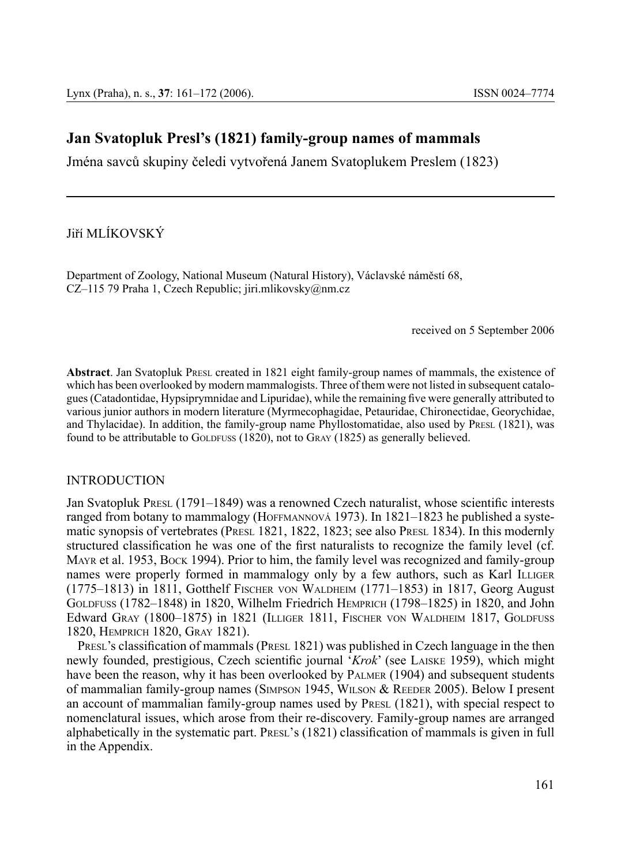# **Jan Svatopluk Presl's (1821) family-group names of mammals**

Jména savců skupiny čeledi vytvořená Janem Svatoplukem Preslem (1823)

Jiří Mlíkovský

Department of Zoology, National Museum (Natural History), Václavské náměstí 68, CZ–115 79 Praha 1, Czech Republic; jiri.mlikovsky@nm.cz

received on 5 September 2006

**Abstract**. Jan Svatopluk Presl created in 1821 eight family-group names of mammals, the existence of which has been overlooked by modern mammalogists. Three of them were not listed in subsequent catalogues (Catadontidae, Hypsiprymnidae and Lipuridae), while the remaining five were generally attributed to various junior authors in modern literature (Myrmecophagidae, Petauridae, Chironectidae, Georychidae, and Thylacidae). In addition, the family-group name Phyllostomatidae, also used by PRESL (1821), was found to be attributable to GOLDFUSS  $(1820)$ , not to GRAY  $(1825)$  as generally believed.

#### **INTRODUCTION**

Jan Svatopluk Presl (1791–1849) was a renowned Czech naturalist, whose scientific interests ranged from botany to mammalogy (HOFFMANNOVÁ 1973). In 1821–1823 he published a systematic synopsis of vertebrates (PRESL 1821, 1822, 1823; see also PRESL 1834). In this modernly structured classification he was one of the first naturalists to recognize the family level (cf. Mayr et al. 1953, Bock 1994). Prior to him, the family level was recognized and family-group names were properly formed in mammalogy only by a few authors, such as Karl ILLIGER (1775–1813) in 1811, Gotthelf Fischer von Waldheim (1771–1853) in 1817, Georg August Goldfuss (1782–1848) in 1820, Wilhelm Friedrich Hemprich (1798–1825) in 1820, and John Edward Gray (1800–1875) in 1821 (ILLIGER 1811, FISCHER VON WALDHEIM 1817, GOLDFUSS 1820, Hemprich 1820, Gray 1821).

PRESL's classification of mammals (PRESL 1821) was published in Czech language in the then newly founded, prestigious, Czech scientific journal '*Krok*' (see Laiske 1959), which might have been the reason, why it has been overlooked by Palmer (1904) and subsequent students of mammalian family-group names (SIMPSON 1945, WILSON & REEDER 2005). Below I present an account of mammalian family-group names used by PRESL (1821), with special respect to nomenclatural issues, which arose from their re-discovery. Family-group names are arranged alphabetically in the systematic part. PRESL's (1821) classification of mammals is given in full in the Appendix.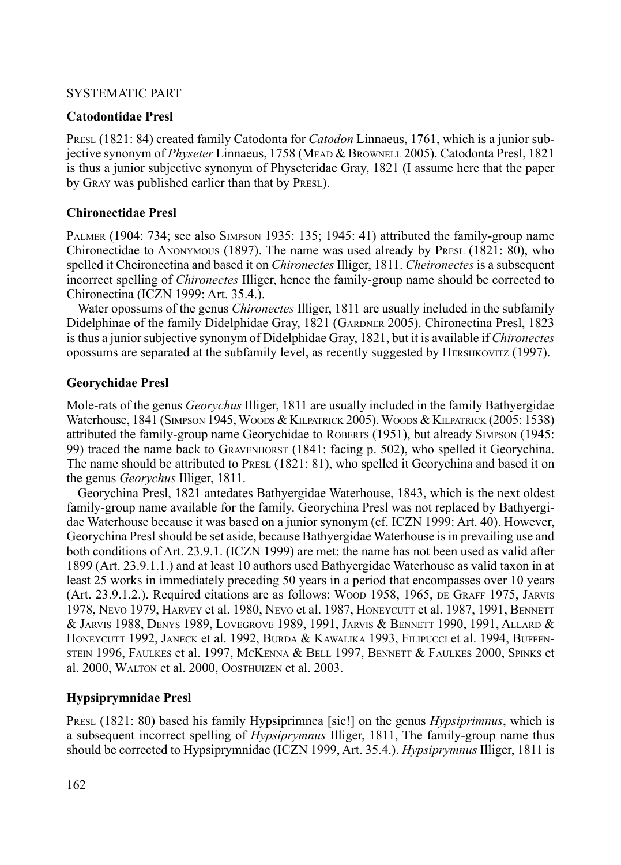## Systematic part

# **Catodontidae Presl**

PRESL (1821: 84) created family Catodonta for *Catodon* Linnaeus, 1761, which is a junior subjective synonym of *Physeter* Linnaeus, 1758 (MEAD & BROWNELL 2005). Catodonta Presl, 1821 is thus a junior subjective synonym of Physeteridae Gray, 1821 (I assume here that the paper by Gray was published earlier than that by Presl).

# **Chironectidae Presl**

Palmer (1904: 734; see also Simpson 1935: 135; 1945: 41) attributed the family-group name Chironectidae to Anonymous (1897). The name was used already by Presl (1821: 80), who spelled it Cheironectina and based it on *Chironectes* Illiger, 1811. *Cheironectes* is a subsequent incorrect spelling of *Chironectes* Illiger, hence the family-group name should be corrected to Chironectina (ICZN 1999: Art. 35.4.).

Water opossums of the genus *Chironectes* Illiger, 1811 are usually included in the subfamily Didelphinae of the family Didelphidae Gray, 1821 (GARDNER 2005). Chironectina Presl, 1823 is thus a junior subjective synonym of Didelphidae Gray, 1821, but it is available if *Chironectes* opossums are separated at the subfamily level, as recently suggested by Hershkovitz (1997).

# **Georychidae Presl**

Mole-rats of the genus *Georychus* Illiger, 1811 are usually included in the family Bathyergidae Waterhouse, 1841 (Simpson 1945, Woods & Kilpatrick 2005). Woods & Kilpatrick (2005: 1538) attributed the family-group name Georychidae to ROBERTS (1951), but already SIMPSON (1945: 99) traced the name back to GRAVENHORST (1841: facing p. 502), who spelled it Georychina. The name should be attributed to PRESL (1821: 81), who spelled it Georychina and based it on the genus *Georychus* Illiger, 1811.

Georychina Presl, 1821 antedates Bathyergidae Waterhouse, 1843, which is the next oldest family-group name available for the family. Georychina Presl was not replaced by Bathyergidae Waterhouse because it was based on a junior synonym (cf. ICZN 1999: Art. 40). However, Georychina Presl should be set aside, because Bathyergidae Waterhouse is in prevailing use and both conditions of Art. 23.9.1. (ICZN 1999) are met: the name has not been used as valid after 1899 (Art. 23.9.1.1.) and at least 10 authors used Bathyergidae Waterhouse as valid taxon in at least 25 works in immediately preceding 50 years in a period that encompasses over 10 years (Art. 23.9.1.2.). Required citations are as follows: Woop 1958, 1965, DE GRAFF 1975, JARVIS 1978, Nevo 1979, Harvey et al. 1980, Nevo et al. 1987, Honeycutt et al. 1987, 1991, BENNETT & Jarvis 1988, Denys 1989, Lovegrove 1989, 1991, Jarvis & Bennett 1990, 1991, Allard & HONEYCUTT 1992, JANECK et al. 1992, BURDA & KAWALIKA 1993, FILIPUCCI et al. 1994, BUFFENstein 1996, Faulkes et al. 1997, McKenna & Bell 1997, Bennett & Faulkes 2000, Spinks et al. 2000, Walton et al. 2000, Oosthuizen et al. 2003.

# **Hypsiprymnidae Presl**

Presl (1821: 80) based his family Hypsiprimnea [sic!] on the genus *Hypsiprimnus*, which is a subsequent incorrect spelling of *Hypsiprymnus* Illiger, 1811, The family-group name thus should be corrected to Hypsiprymnidae (ICZN 1999, Art. 35.4.). *Hypsiprymnus* Illiger, 1811 is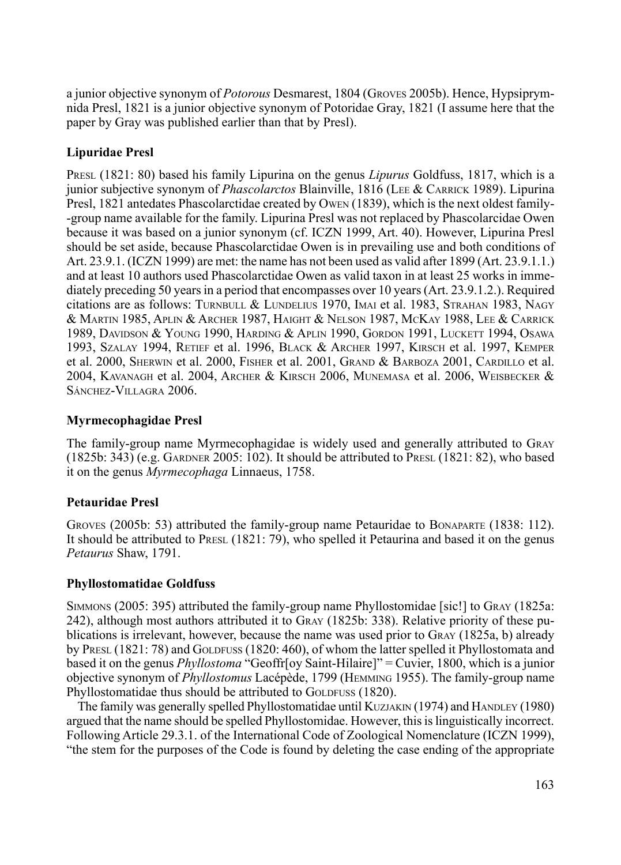a junior objective synonym of *Potorous* Desmarest, 1804 (Groves 2005b). Hence, Hypsiprymnida Presl, 1821 is a junior objective synonym of Potoridae Gray, 1821 (I assume here that the paper by Gray was published earlier than that by Presl).

# **Lipuridae Presl**

Presl (1821: 80) based his family Lipurina on the genus *Lipurus* Goldfuss, 1817, which is a junior subjective synonym of *Phascolarctos* Blainville, 1816 (Lee & Carrick 1989). Lipurina Presl, 1821 antedates Phascolarctidae created by Owen (1839), which is the next oldest family- -group name available for the family. Lipurina Presl was not replaced by Phascolarcidae Owen because it was based on a junior synonym (cf. ICZN 1999, Art. 40). However, Lipurina Presl should be set aside, because Phascolarctidae Owen is in prevailing use and both conditions of Art. 23.9.1. (ICZN 1999) are met: the name has not been used as valid after 1899 (Art. 23.9.1.1.) and at least 10 authors used Phascolarctidae Owen as valid taxon in at least 25 works in immediately preceding 50 years in a period that encompasses over 10 years (Art. 23.9.1.2.). Required citations are as follows: TURNBULL & LUNDELIUS 1970, IMAI et al. 1983, STRAHAN 1983, NAGY & Martin 1985, Aplin & Archer 1987, Haight & Nelson 1987, McKay 1988, Lee & Carrick 1989, Davidson & Young 1990, Harding & Aplin 1990, Gordon 1991, Luckett 1994, Osawa 1993, Szalay 1994, Retief et al. 1996, Black & Archer 1997, Kirsch et al. 1997, Kemper et al. 2000, SHERWIN et al. 2000, FISHER et al. 2001, GRAND & BARBOZA 2001, CARDILLO et al. 2004, Kavanagh et al. 2004, Archer & Kirsch 2006, Munemasa et al. 2006, Weisbecker & Sánchez-Villagra 2006.

## **Myrmecophagidae Presl**

The family-group name Myrmecophagidae is widely used and generally attributed to Gray (1825b: 343) (e.g. Gardner 2005: 102). It should be attributed to Presl (1821: 82), who based it on the genus *Myrmecophaga* Linnaeus, 1758.

# **Petauridae Presl**

GROVES (2005b: 53) attributed the family-group name Petauridae to BONAPARTE (1838: 112). It should be attributed to PRESL  $(1821: 79)$ , who spelled it Petaurina and based it on the genus *Petaurus* Shaw, 1791.

## **Phyllostomatidae Goldfuss**

Simmons (2005: 395) attributed the family-group name Phyllostomidae [sic!] to Gray (1825a: 242), although most authors attributed it to Gray (1825b: 338). Relative priority of these publications is irrelevant, however, because the name was used prior to Gray (1825a, b) already by PRESL (1821: 78) and GOLDFUSS (1820: 460), of whom the latter spelled it Phyllostomata and based it on the genus *Phyllostoma* "Geoffr[oy Saint-Hilaire]" = Cuvier, 1800, which is a junior objective synonym of *Phyllostomus* Lacépède, 1799 (Hemming 1955). The family-group name Phyllostomatidae thus should be attributed to GOLDFUSS (1820).

The family was generally spelled Phyllostomatidae until Kuzjakin (1974) and Handley (1980) argued that the name should be spelled Phyllostomidae. However, this is linguistically incorrect. Following Article 29.3.1. of the International Code of Zoological Nomenclature (ICZN 1999), "the stem for the purposes of the Code is found by deleting the case ending of the appropriate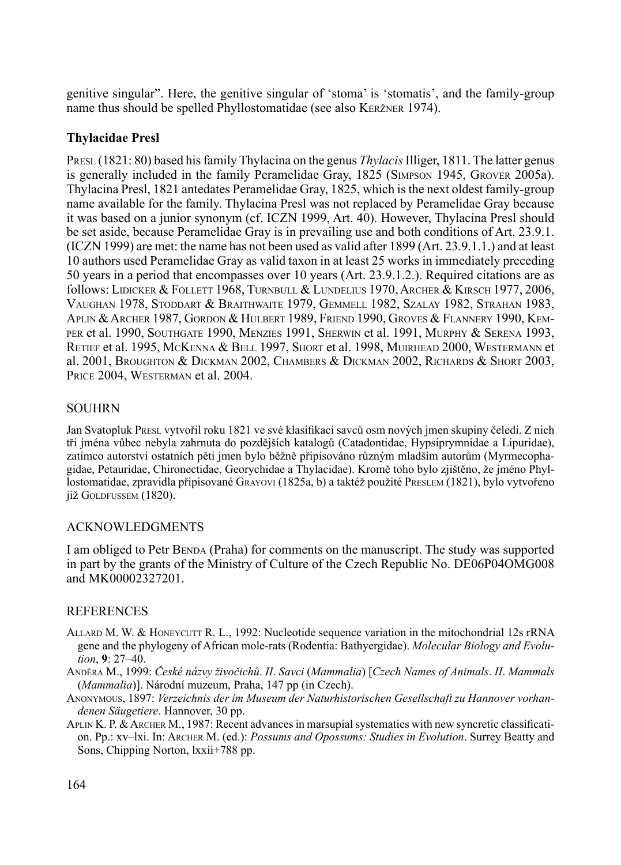genitive singular". Here, the genitive singular of 'stoma' is 'stomatis', and the family-group name thus should be spelled Phyllostomatidae (see also Keržner 1974).

# **Thylacidae Presl**

Presl (1821: 80) based his family Thylacina on the genus *Thylacis* Illiger, 1811. The latter genus is generally included in the family Peramelidae Gray, 1825 (Simpson 1945, Grover 2005a). Thylacina Presl, 1821 antedates Peramelidae Gray, 1825, which is the next oldest family-group name available for the family. Thylacina Presl was not replaced by Peramelidae Gray because it was based on a junior synonym (cf. ICZN 1999, Art. 40). However, Thylacina Presl should be set aside, because Peramelidae Gray is in prevailing use and both conditions of Art. 23.9.1. (ICZN 1999) are met: the name has not been used as valid after 1899 (Art. 23.9.1.1.) and at least 10 authors used Peramelidae Gray as valid taxon in at least 25 works in immediately preceding 50 years in a period that encompasses over 10 years (Art. 23.9.1.2.). Required citations are as follows: Lidicker & Follett 1968, Turnbull & Lundelius 1970, Archer & Kirsch 1977, 2006, Vaughan 1978, Stoddart & Braithwaite 1979, Gemmell 1982, Szalay 1982, Strahan 1983, Aplin & Archer 1987, Gordon & Hulbert 1989, Friend 1990, Groves & Flannery 1990, Kemper et al. 1990, Southgate 1990, Menzies 1991, Sherwin et al. 1991, Murphy & Serena 1993, Retief et al. 1995, McKenna & Bell 1997, Short et al. 1998, Muirhead 2000, Westermann et al. 2001, Broughton & Dickman 2002, Chambers & Dickman 2002, Richards & Short 2003, PRICE 2004, WESTERMAN et al. 2004.

## **SOUHRN**

Jan Svatopluk Presl vytvořil roku 1821 ve své klasifikaci savců osm nových jmen skupiny čeledi. Z nich tři jména vůbec nebyla zahrnuta do pozdějších katalogů (Catadontidae, Hypsiprymnidae a Lipuridae), zatímco autorství ostatních pěti jmen bylo běžně připisováno různým mladším autorům (Myrmecophagidae, Petauridae, Chironectidae, Georychidae a Thylacidae). Kromě toho bylo zjištěno, že jméno Phyllostomatidae, zpravidla připisované Grayovi (1825a, b) a taktéž použité Preslem (1821), bylo vytvořeno již Goldfussem (1820).

## Acknowledgments

I am obliged to Petr Benda (Praha) for comments on the manuscript. The study was supported in part by the grants of the Ministry of Culture of the Czech Republic No. DE06P04OMG008 and MK00002327201.

## **REFERENCES**

- ALLARD M. W. & HONEYCUTT R. L., 1992: Nucleotide sequence variation in the mitochondrial 12s rRNA gene and the phylogeny of African mole-rats (Rodentia: Bathyergidae). *Molecular Biology and Evolution*, **9**: 27–40.
- Anděra M., 1999: *České názvy živočichů*. *II*. *Savci* (*Mammalia*) [*Czech Names of Animals*. *II*. *Mammals*  (*Mammalia*)]. Národní muzeum, Praha, 147 pp (in Czech).
- Anonymous, 1897: *Verzeichnis der im Museum der Naturhistorischen Gesellschaft zu Hannover vorhandenen Säugetiere*. Hannover, 30 pp.
- APLIN K. P. & ARCHER M., 1987: Recent advances in marsupial systematics with new syncretic classification. Pp.: xv–lxi. In: Archer M. (ed.): *Possums and Opossums: Studies in Evolution*. Surrey Beatty and Sons, Chipping Norton, lxxii+788 pp.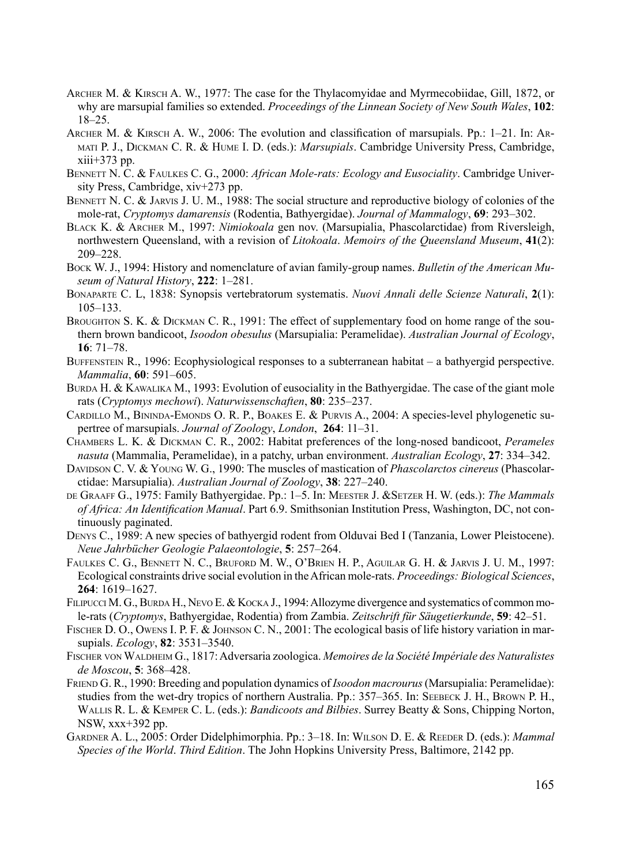- ARCHER M. & KIRSCH A. W., 1977: The case for the Thylacomyidae and Myrmecobiidae, Gill, 1872, or why are marsupial families so extended. *Proceedings of the Linnean Society of New South Wales*, **102**: 18–25.
- Archer M. & Kirsch A. W., 2006: The evolution and classification of marsupials. Pp.: 1–21. In: Armati P. J., Dickman C. R. & Hume I. D. (eds.): *Marsupials*. Cambridge University Press, Cambridge,  $xiii+373$  pp.
- Bennett N. C. & Faulkes C. G., 2000: *African Mole-rats: Ecology and Eusociality*. Cambridge University Press, Cambridge, xiv+273 pp.
- BENNETT N. C. & JARVIS J. U. M., 1988: The social structure and reproductive biology of colonies of the mole-rat, *Cryptomys damarensis* (Rodentia, Bathyergidae). *Journal of Mammalogy*, **69**: 293–302.
- Black K. & Archer M., 1997: *Nimiokoala* gen nov. (Marsupialia, Phascolarctidae) from Riversleigh, northwestern Queensland, with a revision of *Litokoala*. *Memoirs of the Queensland Museum*, **41**(2): 209–228.
- Bock W. J., 1994: History and nomenclature of avian family-group names. *Bulletin of the American Museum of Natural History*, **222**: 1–281.
- Bonaparte C. L, 1838: Synopsis vertebratorum systematis. *Nuovi Annali delle Scienze Naturali*, **2**(1): 105–133.
- BROUGHTON S. K. & DICKMAN C. R., 1991: The effect of supplementary food on home range of the southern brown bandicoot, *Isoodon obesulus* (Marsupialia: Peramelidae). *Australian Journal of Ecology*, **16**: 71–78.
- BUFFENSTEIN R., 1996: Ecophysiological responses to a subterranean habitat a bathyergid perspective. *Mammalia*, **60**: 591–605.
- BURDA H. & KAWALIKA M., 1993: Evolution of eusociality in the Bathyergidae. The case of the giant mole rats (*Cryptomys mechowi*). *Naturwissenschaften*, **80**: 235–237.
- Cardillo M., Bininda-Emonds O. R. P., Boakes E. & Purvis A., 2004: A species-level phylogenetic supertree of marsupials. *Journal of Zoology*, *London*, **264**: 11–31.
- Chambers L. K. & Dickman C. R., 2002: Habitat preferences of the long-nosed bandicoot, *Perameles nasuta* (Mammalia, Peramelidae), in a patchy, urban environment. *Australian Ecology*, **27**: 334–342.
- Davidson C. V. & Young W. G., 1990: The muscles of mastication of *Phascolarctos cinereus* (Phascolarctidae: Marsupialia). *Australian Journal of Zoology*, **38**: 227–240.
- de Graaff G., 1975: Family Bathyergidae. Pp.: 1–5. In: Meester J. &Setzer H. W. (eds.): *The Mammals of Africa: An Identification Manual*. Part 6.9. Smithsonian Institution Press, Washington, DC, not continuously paginated.
- Denys C., 1989: A new species of bathyergid rodent from Olduvai Bed I (Tanzania, Lower Pleistocene). *Neue Jahrbücher Geologie Palaeontologie*, **5**: 257–264.
- Faulkes C. G., Bennett N. C., Bruford M. W., O'Brien H. P., Aguilar G. H. & Jarvis J. U. M., 1997: Ecological constraints drive social evolution in the African mole-rats. *Proceedings: Biological Sciences*, **264**: 1619–1627.
- FILIPUCCI M. G., BURDA H., NEVO E. & KOCKA J., 1994: Allozyme divergence and systematics of common mole-rats (*Cryptomys*, Bathyergidae, Rodentia) from Zambia. *Zeitschrift für Säugetierkunde*, **59**: 42–51.
- FISCHER D. O., OWENS I. P. F. & JOHNSON C. N., 2001: The ecological basis of life history variation in marsupials. *Ecology*, **82**: 3531–3540.
- Fischer von Waldheim G., 1817: Adversaria zoologica. *Memoires de la Société Impériale des Naturalistes de Moscou*, **5**: 368–428.
- Friend G. R., 1990: Breeding and population dynamics of *Isoodon macrourus* (Marsupialia: Peramelidae): studies from the wet-dry tropics of northern Australia. Pp.: 357–365. In: Seebeck J. H., Brown P. H., Wallis R. L. & Kemper C. L. (eds.): *Bandicoots and Bilbies*. Surrey Beatty & Sons, Chipping Norton, NSW, xxx+392 pp.
- Gardner A. L., 2005: Order Didelphimorphia. Pp.: 3–18. In: Wilson D. E. & Reeder D. (eds.): *Mammal Species of the World*. *Third Edition*. The John Hopkins University Press, Baltimore, 2142 pp.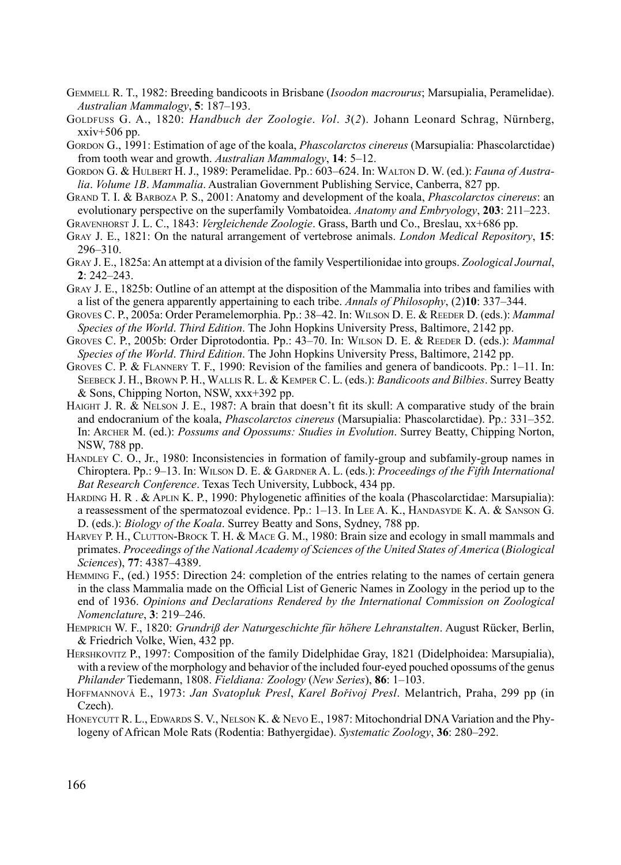- Gemmell R. T., 1982: Breeding bandicoots in Brisbane (*Isoodon macrourus*; Marsupialia, Peramelidae). *Australian Mammalogy*, **5**: 187–193.
- Goldfuss G. A., 1820: *Handbuch der Zoologie*. *Vol*. *3*(*2*). Johann Leonard Schrag, Nürnberg,  $xxiv+506$  pp.
- Gordon G., 1991: Estimation of age of the koala, *Phascolarctos cinereus* (Marsupialia: Phascolarctidae) from tooth wear and growth. *Australian Mammalogy*, **14**: 5–12.
- Gordon G. & Hulbert H. J., 1989: Peramelidae. Pp.: 603–624. In: Walton D. W. (ed.): *Fauna of Australia*. *Volume 1B*. *Mammalia*. Australian Government Publishing Service, Canberra, 827 pp.
- Grand T. I. & Barboza P. S., 2001: Anatomy and development of the koala, *Phascolarctos cinereus*: an evolutionary perspective on the superfamily Vombatoidea. *Anatomy and Embryology*, **203**: 211–223.
- Gravenhorst J. L. C., 1843: *Vergleichende Zoologie*. Grass, Barth und Co., Breslau, xx+686 pp.
- Gray J. E., 1821: On the natural arrangement of vertebrose animals. *London Medical Repository*, **15**: 296–310.
- Gray J. E., 1825a: An attempt at a division of the family Vespertilionidae into groups. *Zoological Journal*, **2**: 242–243.
- Gray J. E., 1825b: Outline of an attempt at the disposition of the Mammalia into tribes and families with a list of the genera apparently appertaining to each tribe. *Annals of Philosophy*, (2)**10**: 337–344.
- Groves C. P., 2005a: Order Peramelemorphia. Pp.: 38–42. In: Wilson D. E. & Reeder D. (eds.): *Mammal Species of the World*. *Third Edition*. The John Hopkins University Press, Baltimore, 2142 pp.
- Groves C. P., 2005b: Order Diprotodontia. Pp.: 43–70. In: Wilson D. E. & Reeder D. (eds.): *Mammal Species of the World*. *Third Edition*. The John Hopkins University Press, Baltimore, 2142 pp.
- Groves C. P. & Flannery T. F., 1990: Revision of the families and genera of bandicoots. Pp.: 1–11. In: Seebeck J. H., Brown P. H., Wallis R. L. & Kemper C. L. (eds.): *Bandicoots and Bilbies*. Surrey Beatty & Sons, Chipping Norton, NSW, xxx+392 pp.
- Haight J. R. & Nelson J. E., 1987: A brain that doesn't fit its skull: A comparative study of the brain and endocranium of the koala, *Phascolarctos cinereus* (Marsupialia: Phascolarctidae). Pp.: 331–352. In: Archer M. (ed.): *Possums and Opossums: Studies in Evolution*. Surrey Beatty, Chipping Norton, NSW, 788 pp.
- HANDLEY C. O., Jr., 1980: Inconsistencies in formation of family-group and subfamily-group names in Chiroptera. Pp.: 9–13. In: Wilson D. E. & Gardner A. L. (eds.): *Proceedings of the Fifth International Bat Research Conference*. Texas Tech University, Lubbock, 434 pp.
- Harding H. R . & Aplin K. P., 1990: Phylogenetic affinities of the koala (Phascolarctidae: Marsupialia): a reassessment of the spermatozoal evidence. Pp.: 1–13. In Lee A. K., HANDASYDE K. A. & SANSON G. D. (eds.): *Biology of the Koala*. Surrey Beatty and Sons, Sydney, 788 pp.
- HARVEY P. H., CLUTTON-BROCK T. H. & MACE G. M., 1980: Brain size and ecology in small mammals and primates. *Proceedings of the National Academy of Sciences of the United States of America* (*Biological Sciences*), **77**: 4387–4389.
- Hemming F., (ed.) 1955: Direction 24: completion of the entries relating to the names of certain genera in the class Mammalia made on the Official List of Generic Names in Zoology in the period up to the end of 1936. *Opinions and Declarations Rendered by the International Commission on Zoological Nomenclature*, **3**: 219–246.
- Hemprich W. F., 1820: *Grundriß der Naturgeschichte für höhere Lehranstalten*. August Rücker, Berlin, & Friedrich Volke, Wien, 432 pp.
- Hershkovitz P., 1997: Composition of the family Didelphidae Gray, 1821 (Didelphoidea: Marsupialia), with a review of the morphology and behavior of the included four-eyed pouched opossums of the genus *Philander* Tiedemann, 1808. *Fieldiana: Zoology* (*New Series*), **86**: 1–103.
- Hoffmannová E., 1973: *Jan Svatopluk Presl*, *Karel Bořivoj Presl*. Melantrich, Praha, 299 pp (in Czech).
- HONEYCUTT R. L., EDWARDS S. V., NELSON K. & NEVO E., 1987: Mitochondrial DNA Variation and the Phylogeny of African Mole Rats (Rodentia: Bathyergidae). *Systematic Zoology*, **36**: 280–292.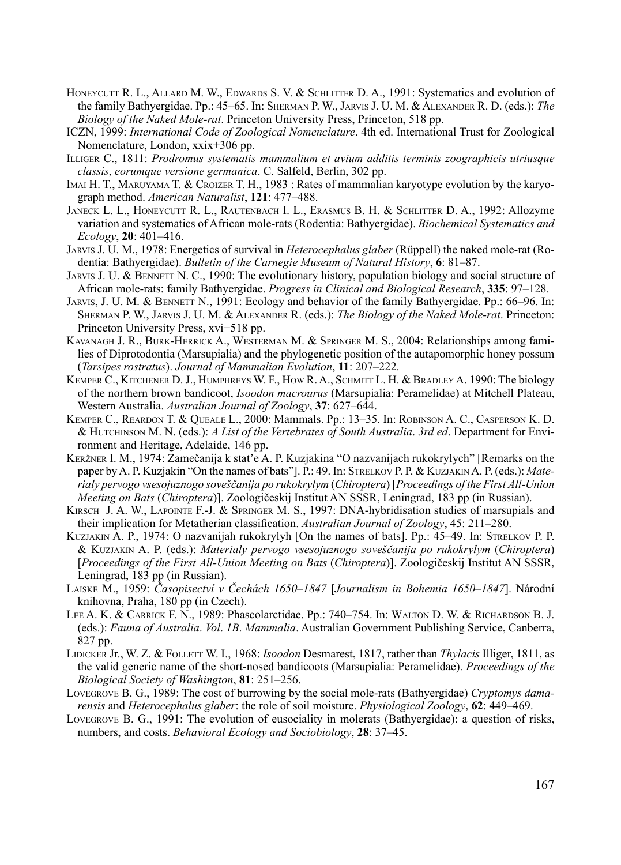- HONEYCUTT R. L., ALLARD M. W., EDWARDS S. V. & SCHLITTER D. A., 1991: Systematics and evolution of the family Bathyergidae. Pp.: 45–65. In: Sherman P. W., Jarvis J. U. M. & Alexander R. D. (eds.): *The Biology of the Naked Mole-rat*. Princeton University Press, Princeton, 518 pp.
- ICZN, 1999: *International Code of Zoological Nomenclature*. 4th ed. International Trust for Zoological Nomenclature, London, xxix+306 pp.
- Illiger C., 1811: *Prodromus systematis mammalium et avium additis terminis zoographicis utriusque classis*, *eorumque versione germanica*. C. Salfeld, Berlin, 302 pp.
- Imai H. T., Maruyama T. & Croizer T. H., 1983 : Rates of mammalian karyotype evolution by the karyograph method. *American Naturalist*, **121**: 477–488.
- Janeck L. L., Honeycutt R. L., Rautenbach I. L., Erasmus B. H. & Schlitter D. A., 1992: Allozyme variation and systematics of African mole-rats (Rodentia: Bathyergidae). *Biochemical Systematics and Ecology*, **20**: 401–416.
- Jarvis J. U. M., 1978: Energetics of survival in *Heterocephalus glaber* (Rüppell) the naked mole-rat (Rodentia: Bathyergidae). *Bulletin of the Carnegie Museum of Natural History*, **6**: 81–87.
- JARVIS J. U. & BENNETT N. C., 1990: The evolutionary history, population biology and social structure of African mole-rats: family Bathyergidae. *Progress in Clinical and Biological Research*, **335**: 97–128.
- JARVIS, J. U. M. & BENNETT N., 1991: Ecology and behavior of the family Bathyergidae. Pp.: 66–96. In: Sherman P. W., Jarvis J. U. M. & Alexander R. (eds.): *The Biology of the Naked Mole-rat*. Princeton: Princeton University Press, xvi+518 pp.
- Kavanagh J. R., Burk-Herrick A., Westerman M. & Springer M. S., 2004: Relationships among families of Diprotodontia (Marsupialia) and the phylogenetic position of the autapomorphic honey possum (*Tarsipes rostratus*). *Journal of Mammalian Evolution*, **11**: 207–222.
- Kemper C., Kitchener D. J., Humphreys W. F., How R. A., Schmitt L. H. & Bradley A. 1990: The biology of the northern brown bandicoot, *Isoodon macrourus* (Marsupialia: Peramelidae) at Mitchell Plateau, Western Australia. *Australian Journal of Zoology*, **37**: 627–644.
- Kemper C., Reardon T. & Queale L., 2000: Mammals. Pp.: 13–35. In: Robinson A. C., Casperson K. D. & Hutchinson M. N. (eds.): *A List of the Vertebrates of South Australia*. *3rd ed*. Department for Environment and Heritage, Adelaide, 146 pp.
- Keržner I. M., 1974: Zamečanija k stat'e A. P. Kuzjakina "O nazvanijach rukokrylych" [Remarks on the paper by A. P. Kuzjakin "On the names of bats"]. P.: 49. In: Strelkov P. P. & Kuzjakin A. P. (eds.): *Materialy pervogo vsesojuznogo soveščanija po rukokrylym* (*Chiroptera*) [*Proceedings of the First All-Union Meeting on Bats* (*Chiroptera*)]. Zoologičeskij Institut AN SSSR, Leningrad, 183 pp (in Russian).
- Kirsch J. A. W., Lapointe F.-J. & Springer M. S., 1997: DNA-hybridisation studies of marsupials and their implication for Metatherian classification. *Australian Journal of Zoology*, 45: 211–280.
- Kuzjakin A. P., 1974: O nazvanijah rukokrylyh [On the names of bats]. Pp.: 45–49. In: Strelkov P. P. & Kuzjakin A. P. (eds.): *Materialy pervogo vsesojuznogo soveščanija po rukokrylym* (*Chiroptera*) [*Proceedings of the First All-Union Meeting on Bats* (*Chiroptera*)]. Zoologičeskij Institut AN SSSR, Leningrad, 183 pp (in Russian).
- Laiske M., 1959: *Časopisectví v Čechách 1650–1847* [*Journalism in Bohemia 1650–1847*]. Národní knihovna, Praha, 180 pp (in Czech).
- Lee A. K. & Carrick F. N., 1989: Phascolarctidae. Pp.: 740–754. In: Walton D. W. & Richardson B. J. (eds.): *Fauna of Australia*. *Vol*. *1B*. *Mammalia*. Australian Government Publishing Service, Canberra, 827 pp.
- Lidicker Jr., W. Z. & Follett W. I., 1968: *Isoodon* Desmarest, 1817, rather than *Thylacis* Illiger, 1811, as the valid generic name of the short-nosed bandicoots (Marsupialia: Peramelidae). *Proceedings of the Biological Society of Washington*, **81**: 251–256.
- Lovegrove B. G., 1989: The cost of burrowing by the social mole-rats (Bathyergidae) *Cryptomys damarensis* and *Heterocephalus glaber*: the role of soil moisture. *Physiological Zoology*, **62**: 449–469.
- Lovegrove B. G., 1991: The evolution of eusociality in molerats (Bathyergidae): a question of risks, numbers, and costs. *Behavioral Ecology and Sociobiology*, **28**: 37–45.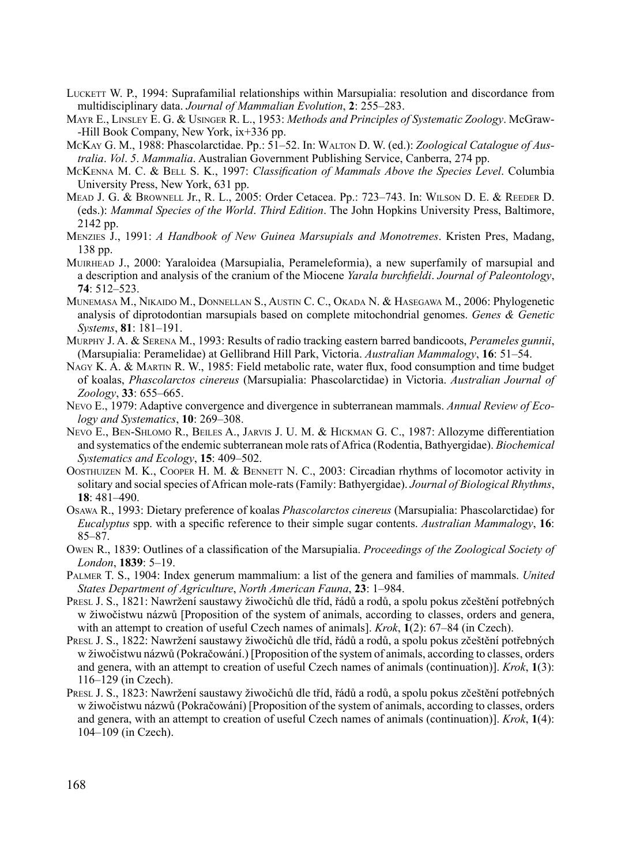- LUCKETT W. P., 1994: Suprafamilial relationships within Marsupialia: resolution and discordance from multidisciplinary data. *Journal of Mammalian Evolution*, **2**: 255–283.
- Mayr E., Linsley E. G. & Usinger R. L., 1953: *Methods and Principles of Systematic Zoology*. McGraw- -Hill Book Company, New York, ix+336 pp.
- McKay G. M., 1988: Phascolarctidae. Pp.: 51–52. In: Walton D. W. (ed.): *Zoological Catalogue of Australia*. *Vol*. *5*. *Mammalia*. Australian Government Publishing Service, Canberra, 274 pp.
- McKenna M. C. & Bell S. K., 1997: *Classification of Mammals Above the Species Level*. Columbia University Press, New York, 631 pp.
- Mead J. G. & Brownell Jr., R. L., 2005: Order Cetacea. Pp.: 723–743. In: Wilson D. E. & Reeder D. (eds.): *Mammal Species of the World*. *Third Edition*. The John Hopkins University Press, Baltimore, 2142 pp.
- Menzies J., 1991: *A Handbook of New Guinea Marsupials and Monotremes*. Kristen Pres, Madang, 138 pp.
- Muirhead J., 2000: Yaraloidea (Marsupialia, Perameleformia), a new superfamily of marsupial and a description and analysis of the cranium of the Miocene *Yarala burchfieldi*. *Journal of Paleontology*, **74**: 512–523.
- Munemasa M., Nikaido M., Donnellan S., Austin C. C., Okada N. & Hasegawa M., 2006: Phylogenetic analysis of diprotodontian marsupials based on complete mitochondrial genomes. *Genes & Genetic Systems*, **81**: 181–191.
- Murphy J. A. & Serena M., 1993: Results of radio tracking eastern barred bandicoots, *Perameles gunnii*, (Marsupialia: Peramelidae) at Gellibrand Hill Park, Victoria. *Australian Mammalogy*, **16**: 51–54.
- NAGY K. A. & MARTIN R. W., 1985: Field metabolic rate, water flux, food consumption and time budget of koalas, *Phascolarctos cinereus* (Marsupialia: Phascolarctidae) in Victoria. *Australian Journal of Zoology*, **33**: 655–665.
- Nevo E., 1979: Adaptive convergence and divergence in subterranean mammals. *Annual Review of Ecology and Systematics*, **10**: 269–308.
- Nevo E., Ben-Shlomo R., Beiles A., Jarvis J. U. M. & Hickman G. C., 1987: Allozyme differentiation and systematics of the endemic subterranean mole rats of Africa (Rodentia, Bathyergidae). *Biochemical Systematics and Ecology*, **15**: 409–502.
- Oosthuizen M. K., Cooper H. M. & Bennett N. C., 2003: Circadian rhythms of locomotor activity in solitary and social species of African mole-rats (Family: Bathyergidae). *Journal of Biological Rhythms*, **18**: 481–490.
- Osawa R., 1993: Dietary preference of koalas *Phascolarctos cinereus* (Marsupialia: Phascolarctidae) for *Eucalyptus* spp. with a specific reference to their simple sugar contents. *Australian Mammalogy*, **16**: 85–87.
- Owen R., 1839: Outlines of a classification of the Marsupialia. *Proceedings of the Zoological Society of London*, **1839**: 5–19.
- Palmer T. S., 1904: Index generum mammalium: a list of the genera and families of mammals. *United States Department of Agriculture*, *North American Fauna*, **23**: 1–984.
- Presl J. S., 1821: Nawržení saustawy žiwočichů dle tříd, řádů a rodů, a spolu pokus zčeštění potřebných w žiwočistwu názwů [Proposition of the system of animals, according to classes, orders and genera, with an attempt to creation of useful Czech names of animals]. *Krok*, **1**(2): 67–84 (in Czech).
- Presl J. S., 1822: Nawržení saustawy žiwočichů dle tříd, řádů a rodů, a spolu pokus zčeštění potřebných w žiwočistwu názwů (Pokračowání.) [Proposition of the system of animals, according to classes, orders and genera, with an attempt to creation of useful Czech names of animals (continuation)]. *Krok*, **1**(3): 116–129 (in Czech).
- Presl J. S., 1823: Nawržení saustawy žiwočichů dle tříd, řádů a rodů, a spolu pokus zčeštění potřebných w žiwočistwu názwů (Pokračowání) [Proposition of the system of animals, according to classes, orders and genera, with an attempt to creation of useful Czech names of animals (continuation)]. *Krok*, **1**(4): 104–109 (in Czech).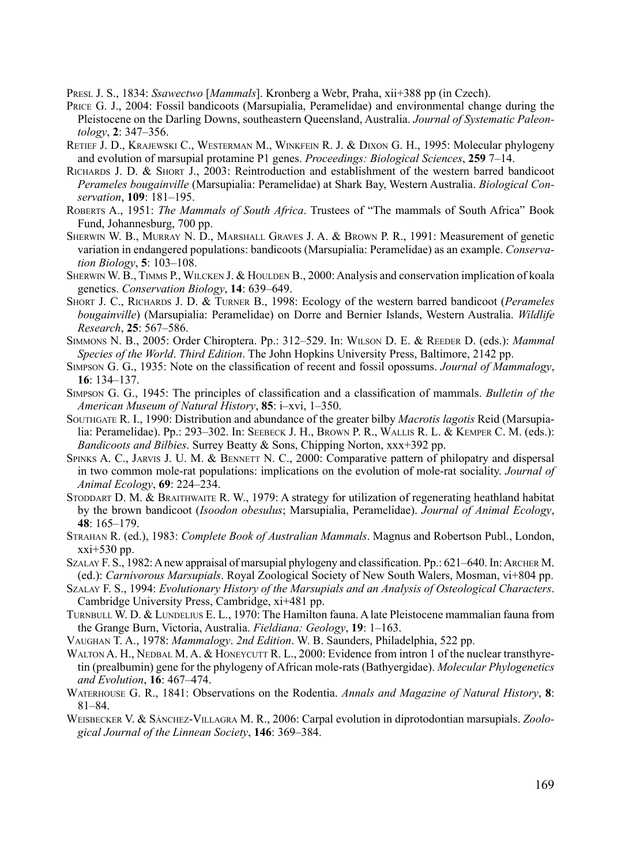Presl J. S., 1834: *Ssawectwo* [*Mammals*]. Kronberg a Webr, Praha, xii+388 pp (in Czech).

- Price G. J., 2004: Fossil bandicoots (Marsupialia, Peramelidae) and environmental change during the Pleistocene on the Darling Downs, southeastern Queensland, Australia. *Journal of Systematic Paleontology*, **2**: 347–356.
- Retief J. D., Krajewski C., Westerman M., Winkfein R. J. & Dixon G. H., 1995: Molecular phylogeny and evolution of marsupial protamine P1 genes. *Proceedings: Biological Sciences*, **259** 7–14.
- Richards J. D. & Short J., 2003: Reintroduction and establishment of the western barred bandicoot *Perameles bougainville* (Marsupialia: Peramelidae) at Shark Bay, Western Australia. *Biological Conservation*, **109**: 181–195.
- Roberts A., 1951: *The Mammals of South Africa*. Trustees of "The mammals of South Africa" Book Fund, Johannesburg, 700 pp.
- Sherwin W. B., Murray N. D., Marshall Graves J. A. & Brown P. R., 1991: Measurement of genetic variation in endangered populations: bandicoots (Marsupialia: Peramelidae) as an example. *Conservation Biology*, **5**: 103–108.
- SHERWIN W. B., TIMMS P., WILCKEN J. & HOULDEN B., 2000: Analysis and conservation implication of koala genetics. *Conservation Biology*, **14**: 639–649.
- Short J. C., Richards J. D. & Turner B., 1998: Ecology of the western barred bandicoot (*Perameles bougainville*) (Marsupialia: Peramelidae) on Dorre and Bernier Islands, Western Australia. *Wildlife Research*, **25**: 567–586.
- Simmons N. B., 2005: Order Chiroptera. Pp.: 312–529. In: Wilson D. E. & Reeder D. (eds.): *Mammal Species of the World*. *Third Edition*. The John Hopkins University Press, Baltimore, 2142 pp.
- Simpson G. G., 1935: Note on the classification of recent and fossil opossums. *Journal of Mammalogy*, **16**: 134–137.
- Simpson G. G., 1945: The principles of classification and a classification of mammals. *Bulletin of the American Museum of Natural History*, **85**: i–xvi, 1–350.
- Southgate R. I., 1990: Distribution and abundance of the greater bilby *Macrotis lagotis* Reid (Marsupialia: Peramelidae). Pp.: 293–302. In: Seebeck J. H., Brown P. R., Wallis R. L. & Kemper C. M. (eds.): *Bandicoots and Bilbies*. Surrey Beatty & Sons, Chipping Norton, xxx+392 pp.
- Spinks A. C., Jarvis J. U. M. & Bennett N. C., 2000: Comparative pattern of philopatry and dispersal in two common mole-rat populations: implications on the evolution of mole-rat sociality. *Journal of Animal Ecology*, **69**: 224–234.
- Stoddart D. M. & Braithwaite R. W., 1979: A strategy for utilization of regenerating heathland habitat by the brown bandicoot (*Isoodon obesulus*; Marsupialia, Peramelidae). *Journal of Animal Ecology*, **48**: 165–179.
- Strahan R. (ed.), 1983: *Complete Book of Australian Mammals*. Magnus and Robertson Publ., London, xxi+530 pp.
- Szalay F. S., 1982: A new appraisal of marsupial phylogeny and classification. Pp.: 621–640. In: Archer M. (ed.): *Carnivorous Marsupials*. Royal Zoological Society of New South Walers, Mosman, vi+804 pp.
- Szalay F. S., 1994: *Evolutionary History of the Marsupials and an Analysis of Osteological Characters*. Cambridge University Press, Cambridge, xi+481 pp.
- TURNBULL W. D. & LUNDELIUS E. L., 1970: The Hamilton fauna. A late Pleistocene mammalian fauna from the Grange Burn, Victoria, Australia. *Fieldiana: Geology*, **19**: 1–163.
- Vaughan T. A., 1978: *Mammalogy*. *2nd Edition*. W. B. Saunders, Philadelphia, 522 pp.
- WALTON A. H., NEDBAL M. A. & HONEYCUTT R. L., 2000: Evidence from intron 1 of the nuclear transthyretin (prealbumin) gene for the phylogeny of African mole-rats (Bathyergidae). *Molecular Phylogenetics and Evolution*, **16**: 467–474.
- Waterhouse G. R., 1841: Observations on the Rodentia. *Annals and Magazine of Natural History*, **8**: 81–84.
- WEISBECKER V. & SANCHEZ-VILLAGRA M. R., 2006: Carpal evolution in diprotodontian marsupials. *Zoological Journal of the Linnean Society*, **146**: 369–384.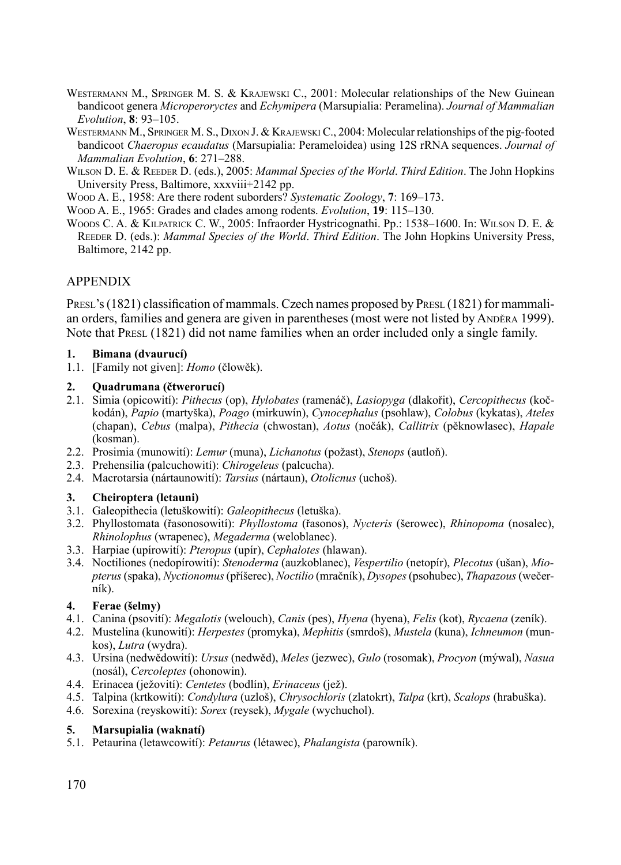- WESTERMANN M., SPRINGER M. S. & KRAJEWSKI C., 2001: Molecular relationships of the New Guinean bandicoot genera *Microperoryctes* and *Echymipera* (Marsupialia: Peramelina). *Journal of Mammalian Evolution*, **8**: 93–105.
- WESTERMANN M., SPRINGER M. S., DIXON J. & KRAJEWSKI C., 2004: Molecular relationships of the pig-footed bandicoot *Chaeropus ecaudatus* (Marsupialia: Perameloidea) using 12S rRNA sequences. *Journal of Mammalian Evolution*, **6**: 271–288.
- Wilson D. E. & Reeder D. (eds.), 2005: *Mammal Species of the World*. *Third Edition*. The John Hopkins University Press, Baltimore, xxxviii+2142 pp.
- Wood A. E., 1958: Are there rodent suborders? *Systematic Zoology*, **7**: 169–173.
- Wood A. E., 1965: Grades and clades among rodents. *Evolution*, **19**: 115–130.
- Woods C. A. & Kilpatrick C. W., 2005: Infraorder Hystricognathi. Pp.: 1538–1600. In: Wilson D. E. & Reeder D. (eds.): *Mammal Species of the World*. *Third Edition*. The John Hopkins University Press, Baltimore, 2142 pp.

## Appendix

PRESL's (1821) classification of mammals. Czech names proposed by PRESL (1821) for mammalian orders, families and genera are given in parentheses (most were not listed by Anděra 1999). Note that Presl (1821) did not name families when an order included only a single family.

#### **1. Bimana (dvaurucí)**

1.1. [Family not given]: *Homo* (člowěk).

#### **2. Quadrumana (čtwerorucí)**

- 2.1. Simia (opicowití): *Pithecus* (op), *Hylobates* (ramenáč), *Lasiopyga* (dlakořit), *Cercopithecus* (kočkodán), *Papio* (martyška), *Poago* (mirkuwín), *Cynocephalus* (psohlaw), *Colobus* (kykatas), *Ateles* (chapan), *Cebus* (malpa), *Pithecia* (chwostan), *Aotus* (nočák), *Callitrix* (pěknowlasec), *Hapale* (kosman).
- 2.2. Prosimia (munowití): *Lemur* (muna), *Lichanotus* (požast), *Stenops* (autloň).
- 2.3. Prehensilia (palcuchowití): *Chirogeleus* (palcucha).
- 2.4. Macrotarsia (nártaunowití): *Tarsius* (nártaun), *Otolicnus* (uchoš).

## **3. Cheiroptera (letauni)**

- 3.1. Galeopithecia (letuškowití): *Galeopithecus* (letuška).
- 3.2. Phyllostomata (řasonosowití): *Phyllostoma* (řasonos), *Nycteris* (šerowec), *Rhinopoma* (nosalec), *Rhinolophus* (wrapenec), *Megaderma* (weloblanec).
- 3.3. Harpiae (upírowití): *Pteropus* (upír), *Cephalotes* (hlawan).
- 3.4. Noctiliones (nedopírowití): *Stenoderma* (auzkoblanec), *Vespertilio* (netopír), *Plecotus* (ušan), *Mio pterus* (spaka), *Nyctionomus* (příšerec), *Noctilio* (mračník), *Dysopes* (psohubec), *Thapazous* (wečerník).

## **4. Ferae (šelmy)**

- 4.1. Canina (psovití): *Megalotis* (welouch), *Canis* (pes), *Hyena* (hyena), *Felis* (kot), *Rycaena* (zeník).
- 4.2. Mustelina (kunowití): *Herpestes* (promyka), *Mephitis* (smrdoš), *Mustela* (kuna), *Ichneumon* (munkos), *Lutra* (wydra).
- 4.3. Ursina (nedwědowití): *Ursus* (nedwěd), *Meles* (jezwec), *Gulo* (rosomak), *Procyon* (mýwal), *Nasua* (nosál), *Cercoleptes* (ohonowin).
- 4.4. Erinacea (ježovití): *Centetes* (bodlín), *Erinaceus* (jež).
- 4.5. Talpina (krtkowití): *Condylura* (uzloš), *Chrysochloris* (zlatokrt), *Talpa* (krt), *Scalops* (hrabuška).
- 4.6. Sorexina (reyskowití): *Sorex* (reysek), *Mygale* (wychuchol).

## **5. Marsupialia (waknatí)**

5.1. Petaurina (letawcowití): *Petaurus* (létawec), *Phalangista* (parowník).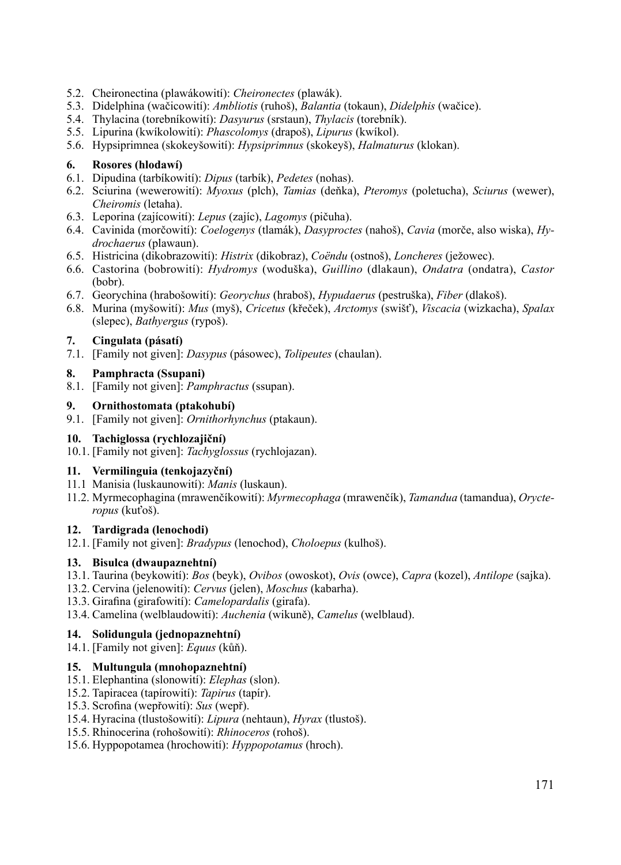- 5.2. Cheironectina (plawákowití): *Cheironectes* (plawák).
- 5.3. Didelphina (wačicowití): *Ambliotis* (ruhoš), *Balantia* (tokaun), *Didelphis* (wačice).
- 5.4. Thylacina (torebníkowití): *Dasyurus* (srstaun), *Thylacis* (torebník).
- 5.5. Lipurina (kwíkolowití): *Phascolomys* (drapoš), *Lipurus* (kwíkol).
- 5.6. Hypsiprimnea (skokeyšowití): *Hypsiprimnus* (skokeyš), *Halmaturus* (klokan).

#### **6. Rosores (hlodawí)**

- 6.1. Dipudina (tarbíkowití): *Dipus* (tarbík), *Pedetes* (nohas).
- 6.2. Sciurina (wewerowití): *Myoxus* (plch), *Tamias* (deňka), *Pteromys* (poletucha), *Sciurus* (wewer), *Cheiromis* (letaha).
- 6.3. Leporina (zajícowití): *Lepus* (zajíc), *Lagomys* (pičuha).
- 6.4. Cavinida (morčowití): *Coelogenys* (tlamák), *Dasyproctes* (nahoš), *Cavia* (morče, also wiska), *Hydrochaerus* (plawaun).
- 6.5. Histricina (dikobrazowití): *Histrix* (dikobraz), *Coëndu* (ostnoš), *Loncheres* (ježowec).
- 6.6. Castorina (bobrowití): *Hydromys* (woduška), *Guillino* (dlakaun), *Ondatra* (ondatra), *Castor* (bobr).
- 6.7. Georychina (hrabošowití): *Georychus* (hraboš), *Hypudaerus* (pestruška), *Fiber* (dlakoš).
- 6.8. Murina (myšowití): *Mus* (myš), *Cricetus* (křeček), *Arctomys* (swišť), *Viscacia* (wizkacha), *Spalax* (slepec), *Bathyergus* (rypoš).

#### **7. Cingulata (pásatí)**

7.1. [Family not given]: *Dasypus* (pásowec), *Tolipeutes* (chaulan).

## **8. Pamphracta (Ssupani)**

8.1. [Family not given]: *Pamphractus* (ssupan).

#### **9. Ornithostomata (ptakohubí)**

9.1. [Family not given]: *Ornithorhynchus* (ptakaun).

#### **10. Tachiglossa (rychlozajiční)**

10.1. [Family not given]: *Tachyglossus* (rychlojazan).

## **11. Vermilinguia (tenkojazyční)**

- 11.1 Manisia (luskaunowití): *Manis* (luskaun).
- 11.2. Myrmecophagina (mrawenčíkowití): *Myrmecophaga* (mrawenčík), *Tamandua* (tamandua), *Orycteropus* (kuťoš).

#### **12. Tardigrada (lenochodi)**

12.1. [Family not given]: *Bradypus* (lenochod), *Choloepus* (kulhoš).

## **13. Bisulca (dwaupaznehtní)**

- 13.1. Taurina (beykowití): *Bos* (beyk), *Ovibos* (owoskot), *Ovis* (owce), *Capra* (kozel), *Antilope* (sajka).
- 13.2. Cervina (jelenowití): *Cervus* (jelen), *Moschus* (kabarha).
- 13.3. Girafina (girafowití): *Camelopardalis* (girafa).
- 13.4. Camelina (welblaudowití): *Auchenia* (wikuně), *Camelus* (welblaud).

## **14. Solidungula (jednopaznehtní)**

14.1. [Family not given]: *Equus* (kůň).

## **15. Multungula (mnohopaznehtní)**

- 15.1. Elephantina (slonowití): *Elephas* (slon).
- 15.2. Tapiracea (tapírowití): *Tapirus* (tapír).
- 15.3. Scrofina (wepřowití): *Sus* (wepř).
- 15.4. Hyracina (tlustošowití): *Lipura* (nehtaun), *Hyrax* (tlustoš).
- 15.5. Rhinocerina (rohošowití): *Rhinoceros* (rohoš).
- 15.6. Hyppopotamea (hrochowití): *Hyppopotamus* (hroch).